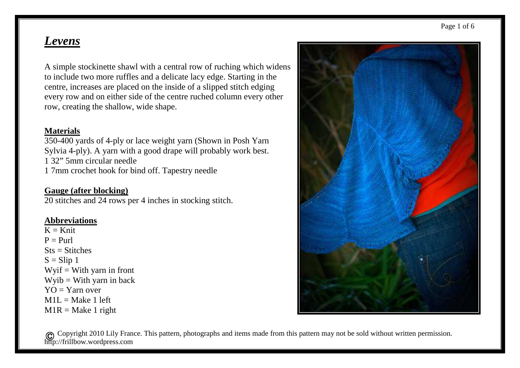# *Levens*

A simple stockinette shawl with a central row of ruching which widens to include two more ruffles and a delicate lacy edge. Starting in the centre, increases are placed on the inside of a slipped stitch edging every row and on either side of the centre ruched column every other row, creating the shallow, wide shape.

#### **Materials**

 350-400 yards of 4-ply or lace weight yarn (Shown in Posh Yarn Sylvia 4-ply). A yarn with a good drape will probably work best. 1 32" 5mm circular needle 1 7mm crochet hook for bind off. Tapestry needle

#### **Gauge (after blocking)**

20 stitches and 24 rows per 4 inches in stocking stitch.

#### **Abbreviations**

 $K = Knit$  $P = P_{11}r1$  $Sts = Stitches$  $S =$ Slip 1  $Wyif = With yarn in front$  $Wyib = With yarn in back$  $YO = Y$ arn over  $M1L = Make 1 left$  $M1R = Make 1$  right

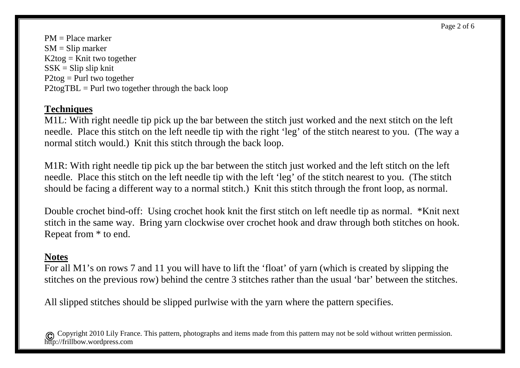PM = Place marker  $SM = Slip$  marker  $K2$ tog = Knit two together  $SSK = Slip$  slip knit  $P2$ tog = Purl two together  $P2$ togTBL = Purl two together through the back loop

# **Techniques**

 M1L: With right needle tip pick up the bar between the stitch just worked and the next stitch on the left needle. Place this stitch on the left needle tip with the right 'leg' of the stitch nearest to you. (The way a normal stitch would.) Knit this stitch through the back loop.

M1R: With right needle tip pick up the bar between the stitch just worked and the left stitch on the left needle. Place this stitch on the left needle tip with the left 'leg' of the stitch nearest to you. (The stitch should be facing a different way to a normal stitch.) Knit this stitch through the front loop, as normal.

Double crochet bind-off: Using crochet hook knit the first stitch on left needle tip as normal. \*Knit next stitch in the same way. Bring yarn clockwise over crochet hook and draw through both stitches on hook. Repeat from \* to end.

## **Notes**

 For all M1's on rows 7 and 11 you will have to lift the 'float' of yarn (which is created by slipping the stitches on the previous row) behind the centre 3 stitches rather than the usual 'bar' between the stitches.

All slipped stitches should be slipped purlwise with the yarn where the pattern specifies.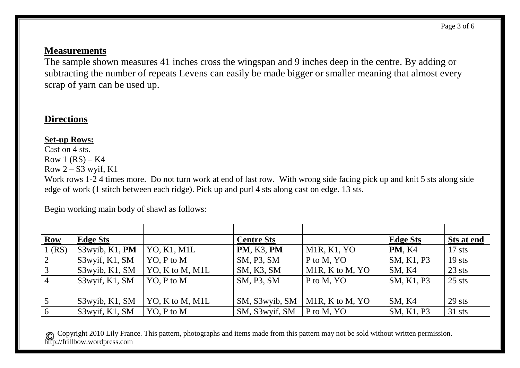Page 3 of 6

### **Measurements**

 The sample shown measures 41 inches cross the wingspan and 9 inches deep in the centre. By adding or subtracting the number of repeats Levens can easily be made bigger or smaller meaning that almost every scrap of yarn can be used up.

# **Directions**

### **Set-up Rows:**

 Cast on 4 sts. Row  $1 (RS) - K4$ Row  $2 - S3$  wyif, K1

 Work rows 1-2 4 times more. Do not turn work at end of last row. With wrong side facing pick up and knit 5 sts along side edge of work (1 stitch between each ridge). Pick up and purl 4 sts along cast on edge. 13 sts.

Begin working main body of shawl as follows:

| <b>Row</b>     | <b>Edge Sts</b> |                 | <b>Centre Sts</b> |                              | <b>Edge Sts</b> | <b>Sts at end</b> |
|----------------|-----------------|-----------------|-------------------|------------------------------|-----------------|-------------------|
| $1$ (RS)       | S3wyib, K1, PM  | YO, K1, M1L     | <b>PM, K3, PM</b> | M1R, K1, YO                  | <b>PM, K4</b>   | $17$ sts          |
| 2              | S3wyif, K1, SM  | YO, P to M      | SM, P3, SM        | P to M, YO                   | SM, K1, P3      | $19$ sts          |
| 3              | S3wyib, K1, SM  | YO, K to M, M1L | SM, K3, SM        | M <sub>1</sub> R, K to M, YO | SM, K4          | $23$ sts          |
| $\overline{4}$ | S3wyif, K1, SM  | YO, P to M      | SM, P3, SM        | P to M, YO                   | SM, K1, P3      | $25$ sts          |
|                |                 |                 |                   |                              |                 |                   |
|                | S3wyib, K1, SM  | YO, K to M, M1L | SM, S3wyib, SM    | M1R, K to M, YO              | SM, K4          | $29$ sts          |
| 6              | S3wyif, K1, SM  | YO, P to M      | SM, S3wyif, SM    | P to M, YO                   | SM, K1, P3      | 31 sts            |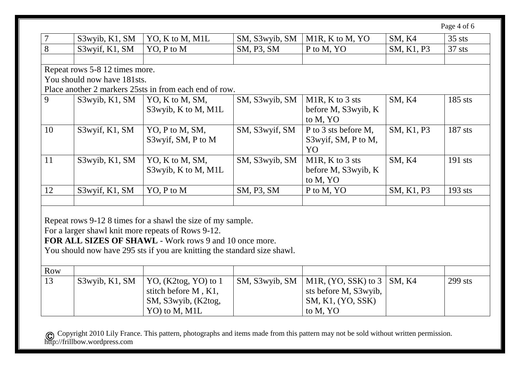Page 4 of 6

|    | S3wyib, K1, SM                 | YO, K to M, M1L                                        | SM, S3wyib, SM | M <sub>1</sub> R, K to M, YO | SM, K4        | $35$ sts  |
|----|--------------------------------|--------------------------------------------------------|----------------|------------------------------|---------------|-----------|
| 8  | S3wyif, K1, SM                 | YO, P to M                                             | SM, P3, SM     | P to M, YO                   | SM, K1, P3    | $37$ sts  |
|    |                                |                                                        |                |                              |               |           |
|    | Repeat rows 5-8 12 times more. |                                                        |                |                              |               |           |
|    | You should now have 181sts.    |                                                        |                |                              |               |           |
|    |                                | Place another 2 markers 25sts in from each end of row. |                |                              |               |           |
| 9  | S3wyib, K1, SM                 | YO, K to M, SM,                                        | SM, S3wyib, SM | M <sub>1</sub> R, K to 3 sts | SM, K4        | 185 sts   |
|    |                                | S3wyib, K to M, M1L                                    |                | before M, S3wyib, K          |               |           |
|    |                                |                                                        |                | to M, YO                     |               |           |
| 10 | S3wyif, K1, SM                 | YO, P to M, SM,                                        | SM, S3wyif, SM | P to 3 sts before M,         | SM, K1, P3    | 187 sts   |
|    |                                | S3wyif, SM, P to M                                     |                | S3wyif, SM, P to M,          |               |           |
|    |                                |                                                        |                | YO                           |               |           |
| 11 | S3wyib, K1, SM                 | YO, K to M, SM,                                        | SM, S3wyib, SM | M1R, K to 3 sts              | <b>SM, K4</b> | $191$ sts |
|    |                                | S3wyib, K to M, M1L                                    |                | before M, S3wyib, K          |               |           |
|    |                                |                                                        |                | to M, YO                     |               |           |
| 12 | S3wyif, K1, SM                 | YO, P to M                                             | SM, P3, SM     | P to M, YO                   | SM, K1, P3    | $193$ sts |
|    |                                |                                                        |                |                              |               |           |
|    |                                |                                                        |                |                              |               |           |

Repeat rows 9-12 8 times for a shawl the size of my sample.

For a larger shawl knit more repeats of Rows 9-12.

**FOR ALL SIZES OF SHAWL** - Work rows 9 and 10 once more.

You should now have 295 sts if you are knitting the standard size shawl.

| <b>Row</b> |                   |                              |                                                 |           |
|------------|-------------------|------------------------------|-------------------------------------------------|-----------|
| 13         | $S3$ wyib, K1, SM | $\vert$ YO, (K2tog, YO) to 1 | SM, S3wyib, SM   M1R, (YO, SSK) to $3$   SM, K4 | $299$ sts |
|            |                   | stitch before M, K1,         | sts before M, S3wyib,                           |           |
|            |                   | SM, S3wyib, (K2tog,          | SM, K1, (YO, SSK)                               |           |
|            |                   | YO) to M, M <sub>1</sub> L   | to M, YO                                        |           |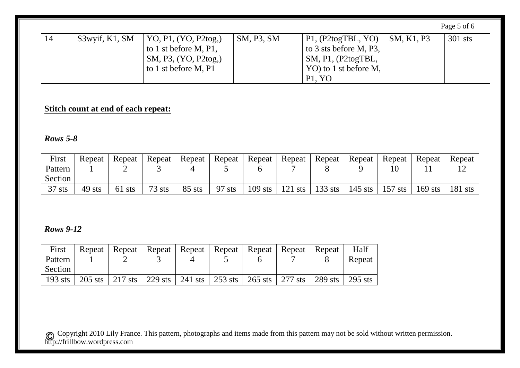|    |                |                              |            |                            |                    | Page 5 of 6 |
|----|----------------|------------------------------|------------|----------------------------|--------------------|-------------|
| 14 | S3wyif, K1, SM | $\vert$ YO, P1, (YO, P2tog,) | SM, P3, SM | $\vert$ P1, (P2togTBL, YO) | $\vert$ SM, K1, P3 | 301 sts     |
|    |                | to 1 st before $M$ , P1,     |            | to 3 sts before M, P3,     |                    |             |
|    |                | SM, P3, (YO, P2tog,)         |            | $\vert$ SM, P1, (P2togTBL, |                    |             |
|    |                | to 1 st before M, P1         |            | YO) to 1 st before M,      |                    |             |
|    |                |                              |            | P1, YO                     |                    |             |

# **Stitch count at end of each repeat:**

### *Rows 5-8*

| First    | Repeat | Repeat | Repeat   | Repeat   | Repeat     | Repeat    | Repeat    | Repeat    | Repeat  | Repeat    | Repeat    | Repeat    |
|----------|--------|--------|----------|----------|------------|-----------|-----------|-----------|---------|-----------|-----------|-----------|
| Pattern  |        | ▃      |          |          |            |           |           |           |         |           |           |           |
| Section  |        |        |          |          |            |           |           |           |         |           |           |           |
| $37$ sts | 49 sts | 61 sts | $73$ sts | $85$ sts | -97<br>sts | $109$ sts | $121$ sts | $133$ sts | 145 sts | $157$ sts | $169$ sts | $181$ sts |

### *Rows 9-12*

| First   |  |  |  | Repeat   Repeat   Repeat   Repeat   Repeat   Repeat   Repeat   Repeat                                                                                                               | Half   |
|---------|--|--|--|-------------------------------------------------------------------------------------------------------------------------------------------------------------------------------------|--------|
| Pattern |  |  |  |                                                                                                                                                                                     | Repeat |
| Section |  |  |  |                                                                                                                                                                                     |        |
| 193 sts |  |  |  | $\frac{1}{205}$ sts $\frac{1}{217}$ sts $\frac{1}{229}$ sts $\frac{1}{241}$ sts $\frac{1}{253}$ sts $\frac{1}{265}$ sts $\frac{1}{277}$ sts $\frac{1}{289}$ sts $\frac{1}{295}$ sts |        |